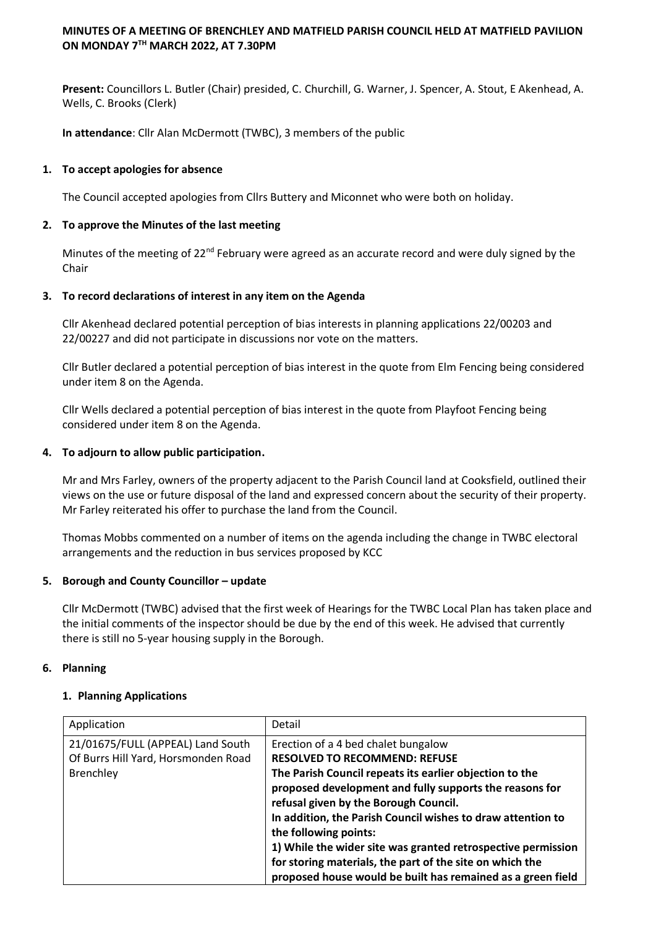# **MINUTES OF A MEETING OF BRENCHLEY AND MATFIELD PARISH COUNCIL HELD AT MATFIELD PAVILION ON MONDAY 7TH MARCH 2022, AT 7.30PM**

**Present:** Councillors L. Butler (Chair) presided, C. Churchill, G. Warner, J. Spencer, A. Stout, E Akenhead, A. Wells, C. Brooks (Clerk)

**In attendance**: Cllr Alan McDermott (TWBC), 3 members of the public

# **1. To accept apologies for absence**

The Council accepted apologies from Cllrs Buttery and Miconnet who were both on holiday.

## **2. To approve the Minutes of the last meeting**

Minutes of the meeting of 22<sup>nd</sup> February were agreed as an accurate record and were duly signed by the Chair

## **3. To record declarations of interest in any item on the Agenda**

Cllr Akenhead declared potential perception of bias interests in planning applications 22/00203 and 22/00227 and did not participate in discussions nor vote on the matters.

Cllr Butler declared a potential perception of bias interest in the quote from Elm Fencing being considered under item 8 on the Agenda.

Cllr Wells declared a potential perception of bias interest in the quote from Playfoot Fencing being considered under item 8 on the Agenda.

## **4. To adjourn to allow public participation.**

Mr and Mrs Farley, owners of the property adjacent to the Parish Council land at Cooksfield, outlined their views on the use or future disposal of the land and expressed concern about the security of their property. Mr Farley reiterated his offer to purchase the land from the Council.

Thomas Mobbs commented on a number of items on the agenda including the change in TWBC electoral arrangements and the reduction in bus services proposed by KCC

#### **5. Borough and County Councillor – update**

Cllr McDermott (TWBC) advised that the first week of Hearings for the TWBC Local Plan has taken place and the initial comments of the inspector should be due by the end of this week. He advised that currently there is still no 5-year housing supply in the Borough.

#### **6. Planning**

#### **1. Planning Applications**

| Application                                                                           | Detail                                                                                                                                                                                                                                                                                                                                                                                                                                                                                                                        |
|---------------------------------------------------------------------------------------|-------------------------------------------------------------------------------------------------------------------------------------------------------------------------------------------------------------------------------------------------------------------------------------------------------------------------------------------------------------------------------------------------------------------------------------------------------------------------------------------------------------------------------|
| 21/01675/FULL (APPEAL) Land South<br>Of Burrs Hill Yard, Horsmonden Road<br>Brenchley | Erection of a 4 bed chalet bungalow<br><b>RESOLVED TO RECOMMEND: REFUSE</b><br>The Parish Council repeats its earlier objection to the<br>proposed development and fully supports the reasons for<br>refusal given by the Borough Council.<br>In addition, the Parish Council wishes to draw attention to<br>the following points:<br>1) While the wider site was granted retrospective permission<br>for storing materials, the part of the site on which the<br>proposed house would be built has remained as a green field |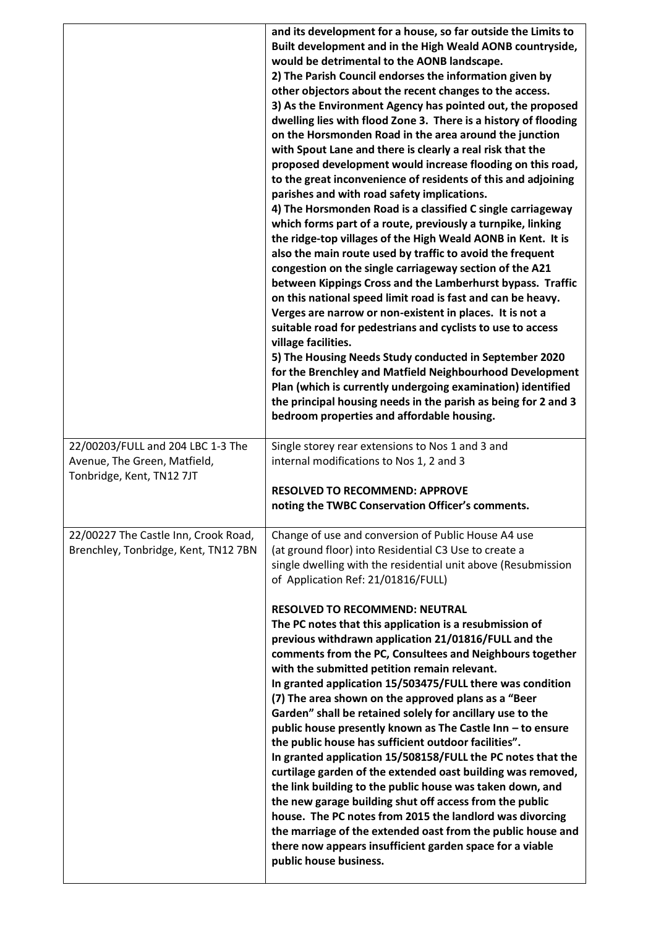|                                                                                                | and its development for a house, so far outside the Limits to<br>Built development and in the High Weald AONB countryside,<br>would be detrimental to the AONB landscape.<br>2) The Parish Council endorses the information given by<br>other objectors about the recent changes to the access.<br>3) As the Environment Agency has pointed out, the proposed<br>dwelling lies with flood Zone 3. There is a history of flooding<br>on the Horsmonden Road in the area around the junction<br>with Spout Lane and there is clearly a real risk that the<br>proposed development would increase flooding on this road,<br>to the great inconvenience of residents of this and adjoining<br>parishes and with road safety implications.<br>4) The Horsmonden Road is a classified C single carriageway<br>which forms part of a route, previously a turnpike, linking<br>the ridge-top villages of the High Weald AONB in Kent. It is<br>also the main route used by traffic to avoid the frequent<br>congestion on the single carriageway section of the A21<br>between Kippings Cross and the Lamberhurst bypass. Traffic<br>on this national speed limit road is fast and can be heavy.<br>Verges are narrow or non-existent in places. It is not a<br>suitable road for pedestrians and cyclists to use to access<br>village facilities.<br>5) The Housing Needs Study conducted in September 2020<br>for the Brenchley and Matfield Neighbourhood Development<br>Plan (which is currently undergoing examination) identified<br>the principal housing needs in the parish as being for 2 and 3<br>bedroom properties and affordable housing. |
|------------------------------------------------------------------------------------------------|-------------------------------------------------------------------------------------------------------------------------------------------------------------------------------------------------------------------------------------------------------------------------------------------------------------------------------------------------------------------------------------------------------------------------------------------------------------------------------------------------------------------------------------------------------------------------------------------------------------------------------------------------------------------------------------------------------------------------------------------------------------------------------------------------------------------------------------------------------------------------------------------------------------------------------------------------------------------------------------------------------------------------------------------------------------------------------------------------------------------------------------------------------------------------------------------------------------------------------------------------------------------------------------------------------------------------------------------------------------------------------------------------------------------------------------------------------------------------------------------------------------------------------------------------------------------------------------------------------------------------------------------------|
| 22/00203/FULL and 204 LBC 1-3 The<br>Avenue, The Green, Matfield,<br>Tonbridge, Kent, TN12 7JT | Single storey rear extensions to Nos 1 and 3 and<br>internal modifications to Nos 1, 2 and 3<br><b>RESOLVED TO RECOMMEND: APPROVE</b>                                                                                                                                                                                                                                                                                                                                                                                                                                                                                                                                                                                                                                                                                                                                                                                                                                                                                                                                                                                                                                                                                                                                                                                                                                                                                                                                                                                                                                                                                                           |
|                                                                                                | noting the TWBC Conservation Officer's comments.                                                                                                                                                                                                                                                                                                                                                                                                                                                                                                                                                                                                                                                                                                                                                                                                                                                                                                                                                                                                                                                                                                                                                                                                                                                                                                                                                                                                                                                                                                                                                                                                |
| 22/00227 The Castle Inn, Crook Road,<br>Brenchley, Tonbridge, Kent, TN12 7BN                   | Change of use and conversion of Public House A4 use<br>(at ground floor) into Residential C3 Use to create a<br>single dwelling with the residential unit above (Resubmission<br>of Application Ref: 21/01816/FULL)                                                                                                                                                                                                                                                                                                                                                                                                                                                                                                                                                                                                                                                                                                                                                                                                                                                                                                                                                                                                                                                                                                                                                                                                                                                                                                                                                                                                                             |
|                                                                                                | <b>RESOLVED TO RECOMMEND: NEUTRAL</b><br>The PC notes that this application is a resubmission of<br>previous withdrawn application 21/01816/FULL and the<br>comments from the PC, Consultees and Neighbours together<br>with the submitted petition remain relevant.<br>In granted application 15/503475/FULL there was condition<br>(7) The area shown on the approved plans as a "Beer<br>Garden" shall be retained solely for ancillary use to the<br>public house presently known as The Castle Inn - to ensure<br>the public house has sufficient outdoor facilities".<br>In granted application 15/508158/FULL the PC notes that the<br>curtilage garden of the extended oast building was removed,<br>the link building to the public house was taken down, and<br>the new garage building shut off access from the public<br>house. The PC notes from 2015 the landlord was divorcing<br>the marriage of the extended oast from the public house and<br>there now appears insufficient garden space for a viable<br>public house business.                                                                                                                                                                                                                                                                                                                                                                                                                                                                                                                                                                                              |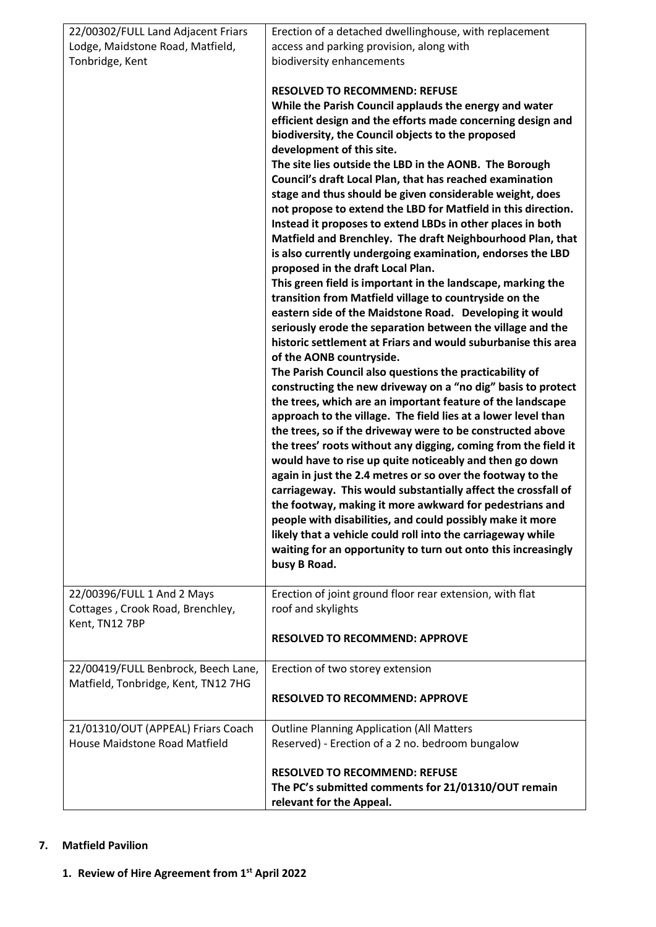| 22/00302/FULL Land Adjacent Friars                                               | Erection of a detached dwellinghouse, with replacement                                                                                                                                                                                                                                                                                                                                                                                                                                                                                                                                                                                                                                                                                                                                                                                                                                                                                                                                                                                                                                                                                                                                                                                                                                                                                                                                                                                                                                                                                                                                                                                                                                                                                                                                                                                                                                                                                       |
|----------------------------------------------------------------------------------|----------------------------------------------------------------------------------------------------------------------------------------------------------------------------------------------------------------------------------------------------------------------------------------------------------------------------------------------------------------------------------------------------------------------------------------------------------------------------------------------------------------------------------------------------------------------------------------------------------------------------------------------------------------------------------------------------------------------------------------------------------------------------------------------------------------------------------------------------------------------------------------------------------------------------------------------------------------------------------------------------------------------------------------------------------------------------------------------------------------------------------------------------------------------------------------------------------------------------------------------------------------------------------------------------------------------------------------------------------------------------------------------------------------------------------------------------------------------------------------------------------------------------------------------------------------------------------------------------------------------------------------------------------------------------------------------------------------------------------------------------------------------------------------------------------------------------------------------------------------------------------------------------------------------------------------------|
| Lodge, Maidstone Road, Matfield,                                                 | access and parking provision, along with                                                                                                                                                                                                                                                                                                                                                                                                                                                                                                                                                                                                                                                                                                                                                                                                                                                                                                                                                                                                                                                                                                                                                                                                                                                                                                                                                                                                                                                                                                                                                                                                                                                                                                                                                                                                                                                                                                     |
| Tonbridge, Kent                                                                  | biodiversity enhancements                                                                                                                                                                                                                                                                                                                                                                                                                                                                                                                                                                                                                                                                                                                                                                                                                                                                                                                                                                                                                                                                                                                                                                                                                                                                                                                                                                                                                                                                                                                                                                                                                                                                                                                                                                                                                                                                                                                    |
|                                                                                  | <b>RESOLVED TO RECOMMEND: REFUSE</b><br>While the Parish Council applauds the energy and water<br>efficient design and the efforts made concerning design and<br>biodiversity, the Council objects to the proposed<br>development of this site.<br>The site lies outside the LBD in the AONB. The Borough<br>Council's draft Local Plan, that has reached examination<br>stage and thus should be given considerable weight, does<br>not propose to extend the LBD for Matfield in this direction.<br>Instead it proposes to extend LBDs in other places in both<br>Matfield and Brenchley. The draft Neighbourhood Plan, that<br>is also currently undergoing examination, endorses the LBD<br>proposed in the draft Local Plan.<br>This green field is important in the landscape, marking the<br>transition from Matfield village to countryside on the<br>eastern side of the Maidstone Road. Developing it would<br>seriously erode the separation between the village and the<br>historic settlement at Friars and would suburbanise this area<br>of the AONB countryside.<br>The Parish Council also questions the practicability of<br>constructing the new driveway on a "no dig" basis to protect<br>the trees, which are an important feature of the landscape<br>approach to the village. The field lies at a lower level than<br>the trees, so if the driveway were to be constructed above<br>the trees' roots without any digging, coming from the field it<br>would have to rise up quite noticeably and then go down<br>again in just the 2.4 metres or so over the footway to the<br>carriageway. This would substantially affect the crossfall of<br>the footway, making it more awkward for pedestrians and<br>people with disabilities, and could possibly make it more<br>likely that a vehicle could roll into the carriageway while<br>waiting for an opportunity to turn out onto this increasingly<br>busy B Road. |
| 22/00396/FULL 1 And 2 Mays<br>Cottages, Crook Road, Brenchley,<br>Kent, TN12 7BP | Erection of joint ground floor rear extension, with flat<br>roof and skylights<br><b>RESOLVED TO RECOMMEND: APPROVE</b>                                                                                                                                                                                                                                                                                                                                                                                                                                                                                                                                                                                                                                                                                                                                                                                                                                                                                                                                                                                                                                                                                                                                                                                                                                                                                                                                                                                                                                                                                                                                                                                                                                                                                                                                                                                                                      |
| 22/00419/FULL Benbrock, Beech Lane,                                              | Erection of two storey extension                                                                                                                                                                                                                                                                                                                                                                                                                                                                                                                                                                                                                                                                                                                                                                                                                                                                                                                                                                                                                                                                                                                                                                                                                                                                                                                                                                                                                                                                                                                                                                                                                                                                                                                                                                                                                                                                                                             |
| Matfield, Tonbridge, Kent, TN12 7HG                                              | <b>RESOLVED TO RECOMMEND: APPROVE</b>                                                                                                                                                                                                                                                                                                                                                                                                                                                                                                                                                                                                                                                                                                                                                                                                                                                                                                                                                                                                                                                                                                                                                                                                                                                                                                                                                                                                                                                                                                                                                                                                                                                                                                                                                                                                                                                                                                        |
| 21/01310/OUT (APPEAL) Friars Coach                                               | <b>Outline Planning Application (All Matters</b>                                                                                                                                                                                                                                                                                                                                                                                                                                                                                                                                                                                                                                                                                                                                                                                                                                                                                                                                                                                                                                                                                                                                                                                                                                                                                                                                                                                                                                                                                                                                                                                                                                                                                                                                                                                                                                                                                             |
| House Maidstone Road Matfield                                                    | Reserved) - Erection of a 2 no. bedroom bungalow                                                                                                                                                                                                                                                                                                                                                                                                                                                                                                                                                                                                                                                                                                                                                                                                                                                                                                                                                                                                                                                                                                                                                                                                                                                                                                                                                                                                                                                                                                                                                                                                                                                                                                                                                                                                                                                                                             |
|                                                                                  | <b>RESOLVED TO RECOMMEND: REFUSE</b><br>The PC's submitted comments for 21/01310/OUT remain<br>relevant for the Appeal.                                                                                                                                                                                                                                                                                                                                                                                                                                                                                                                                                                                                                                                                                                                                                                                                                                                                                                                                                                                                                                                                                                                                                                                                                                                                                                                                                                                                                                                                                                                                                                                                                                                                                                                                                                                                                      |

# **7. Matfield Pavilion**

**1. Review of Hire Agreement from 1st April 2022**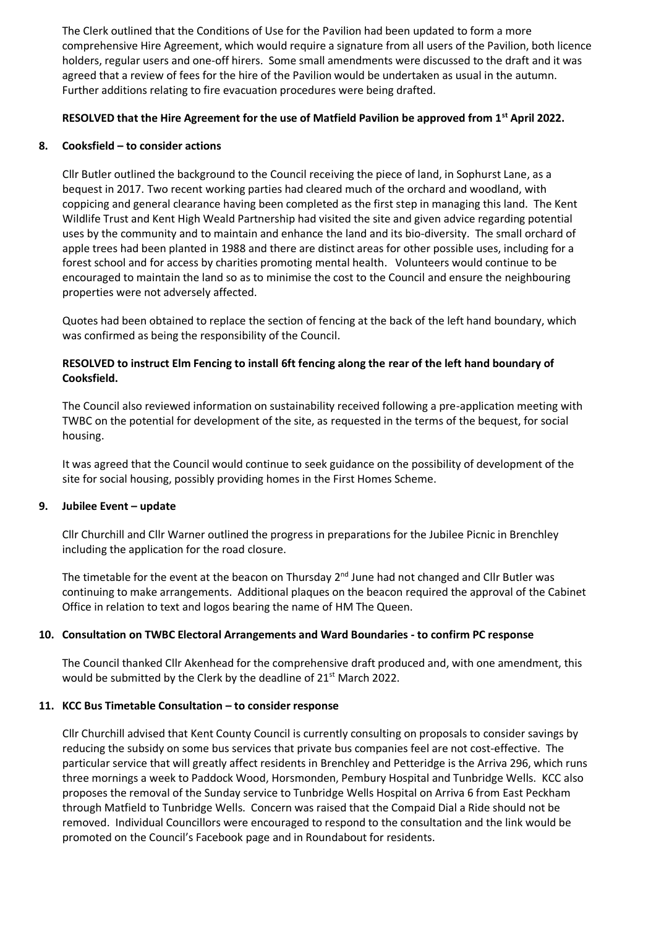The Clerk outlined that the Conditions of Use for the Pavilion had been updated to form a more comprehensive Hire Agreement, which would require a signature from all users of the Pavilion, both licence holders, regular users and one-off hirers. Some small amendments were discussed to the draft and it was agreed that a review of fees for the hire of the Pavilion would be undertaken as usual in the autumn. Further additions relating to fire evacuation procedures were being drafted.

# **RESOLVED that the Hire Agreement for the use of Matfield Pavilion be approved from 1st April 2022.**

## **8. Cooksfield – to consider actions**

Cllr Butler outlined the background to the Council receiving the piece of land, in Sophurst Lane, as a bequest in 2017. Two recent working parties had cleared much of the orchard and woodland, with coppicing and general clearance having been completed as the first step in managing this land. The Kent Wildlife Trust and Kent High Weald Partnership had visited the site and given advice regarding potential uses by the community and to maintain and enhance the land and its bio-diversity. The small orchard of apple trees had been planted in 1988 and there are distinct areas for other possible uses, including for a forest school and for access by charities promoting mental health. Volunteers would continue to be encouraged to maintain the land so as to minimise the cost to the Council and ensure the neighbouring properties were not adversely affected.

Quotes had been obtained to replace the section of fencing at the back of the left hand boundary, which was confirmed as being the responsibility of the Council.

# **RESOLVED to instruct Elm Fencing to install 6ft fencing along the rear of the left hand boundary of Cooksfield.**

The Council also reviewed information on sustainability received following a pre-application meeting with TWBC on the potential for development of the site, as requested in the terms of the bequest, for social housing.

It was agreed that the Council would continue to seek guidance on the possibility of development of the site for social housing, possibly providing homes in the First Homes Scheme.

# **9. Jubilee Event – update**

Cllr Churchill and Cllr Warner outlined the progress in preparations for the Jubilee Picnic in Brenchley including the application for the road closure.

The timetable for the event at the beacon on Thursday  $2^{nd}$  June had not changed and Cllr Butler was continuing to make arrangements. Additional plaques on the beacon required the approval of the Cabinet Office in relation to text and logos bearing the name of HM The Queen.

# **10. Consultation on TWBC Electoral Arrangements and Ward Boundaries - to confirm PC response**

The Council thanked Cllr Akenhead for the comprehensive draft produced and, with one amendment, this would be submitted by the Clerk by the deadline of 21<sup>st</sup> March 2022.

#### **11. KCC Bus Timetable Consultation – to consider response**

Cllr Churchill advised that Kent County Council is currently consulting on proposals to consider savings by reducing the subsidy on some bus services that private bus companies feel are not cost-effective. The particular service that will greatly affect residents in Brenchley and Petteridge is the Arriva 296, which runs three mornings a week to Paddock Wood, Horsmonden, Pembury Hospital and Tunbridge Wells. KCC also proposes the removal of the Sunday service to Tunbridge Wells Hospital on Arriva 6 from East Peckham through Matfield to Tunbridge Wells. Concern was raised that the Compaid Dial a Ride should not be removed. Individual Councillors were encouraged to respond to the consultation and the link would be promoted on the Council's Facebook page and in Roundabout for residents.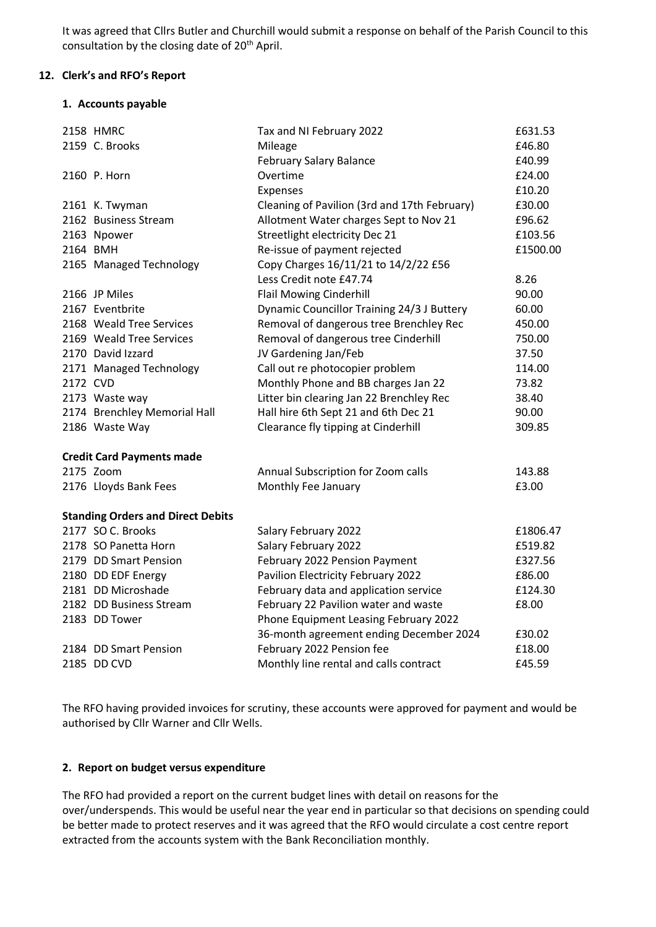It was agreed that Cllrs Butler and Churchill would submit a response on behalf of the Parish Council to this consultation by the closing date of 20<sup>th</sup> April.

# **12. Clerk's and RFO's Report**

## **1. Accounts payable**

|          | 2158 HMRC                                | Tax and NI February 2022                     | £631.53  |
|----------|------------------------------------------|----------------------------------------------|----------|
|          | 2159 C. Brooks                           | Mileage                                      | £46.80   |
|          |                                          | <b>February Salary Balance</b>               | £40.99   |
|          | 2160 P. Horn                             | Overtime                                     | £24.00   |
|          |                                          | Expenses                                     | £10.20   |
|          | 2161 K. Twyman                           | Cleaning of Pavilion (3rd and 17th February) | £30.00   |
|          | 2162 Business Stream                     | Allotment Water charges Sept to Nov 21       | £96.62   |
|          | 2163 Npower                              | Streetlight electricity Dec 21               | £103.56  |
|          | 2164 BMH                                 | Re-issue of payment rejected                 | £1500.00 |
|          | 2165 Managed Technology                  | Copy Charges 16/11/21 to 14/2/22 £56         |          |
|          |                                          | Less Credit note £47.74                      | 8.26     |
|          | 2166 JP Miles                            | <b>Flail Mowing Cinderhill</b>               | 90.00    |
|          | 2167 Eventbrite                          | Dynamic Councillor Training 24/3 J Buttery   | 60.00    |
|          | 2168 Weald Tree Services                 | Removal of dangerous tree Brenchley Rec      | 450.00   |
|          | 2169 Weald Tree Services                 | Removal of dangerous tree Cinderhill         | 750.00   |
|          | 2170 David Izzard                        | JV Gardening Jan/Feb                         | 37.50    |
|          | 2171 Managed Technology                  | Call out re photocopier problem              | 114.00   |
| 2172 CVD |                                          | Monthly Phone and BB charges Jan 22          | 73.82    |
|          | 2173 Waste way                           | Litter bin clearing Jan 22 Brenchley Rec     | 38.40    |
|          | 2174 Brenchley Memorial Hall             | Hall hire 6th Sept 21 and 6th Dec 21         | 90.00    |
|          | 2186 Waste Way                           | Clearance fly tipping at Cinderhill          | 309.85   |
|          | <b>Credit Card Payments made</b>         |                                              |          |
|          | 2175 Zoom                                | Annual Subscription for Zoom calls           | 143.88   |
|          | 2176 Lloyds Bank Fees                    | Monthly Fee January                          | £3.00    |
|          | <b>Standing Orders and Direct Debits</b> |                                              |          |
|          | 2177 SO C. Brooks                        | Salary February 2022                         | £1806.47 |
|          | 2178 SO Panetta Horn                     | Salary February 2022                         | £519.82  |
|          | 2179 DD Smart Pension                    | February 2022 Pension Payment                | £327.56  |
|          | 2180 DD EDF Energy                       | Pavilion Electricity February 2022           | £86.00   |
|          | 2181 DD Microshade                       | February data and application service        | £124.30  |
|          | 2182 DD Business Stream                  | February 22 Pavilion water and waste         | £8.00    |
|          | 2183 DD Tower                            | Phone Equipment Leasing February 2022        |          |
|          |                                          | 36-month agreement ending December 2024      | £30.02   |
|          | 2184 DD Smart Pension                    | February 2022 Pension fee                    | £18.00   |
|          | 2185 DD CVD                              | Monthly line rental and calls contract       | £45.59   |
|          |                                          |                                              |          |

The RFO having provided invoices for scrutiny, these accounts were approved for payment and would be authorised by Cllr Warner and Cllr Wells.

#### **2. Report on budget versus expenditure**

The RFO had provided a report on the current budget lines with detail on reasons for the over/underspends. This would be useful near the year end in particular so that decisions on spending could be better made to protect reserves and it was agreed that the RFO would circulate a cost centre report extracted from the accounts system with the Bank Reconciliation monthly.